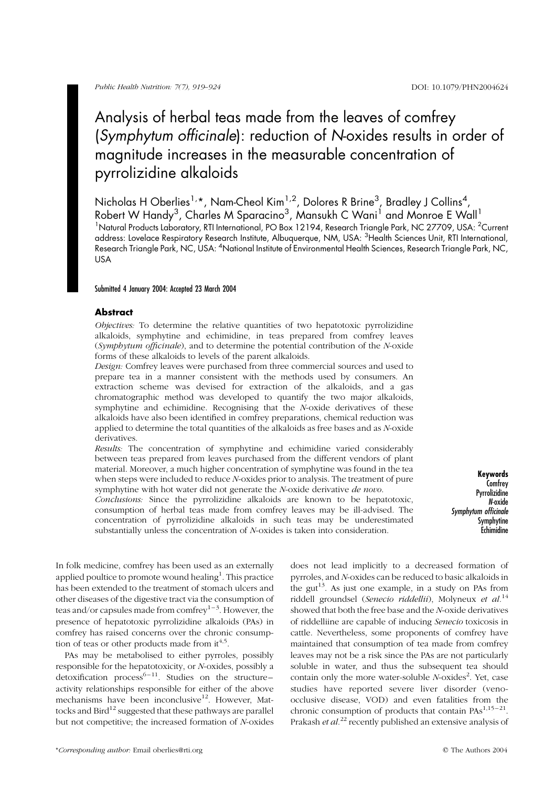# Analysis of herbal teas made from the leaves of comfrey (Symphytum officinale): reduction of N-oxides results in order of magnitude increases in the measurable concentration of pyrrolizidine alkaloids

Nicholas H Oberlies $^{1/\star}$ , Nam-Cheol Kim $^{1/2}$ , Dolores R Brine $^3$ , Bradley J Collins $^4$ , Robert W Handy<sup>3</sup>, Charles M Sparacino<sup>3</sup>, Mansukh C Wani<sup>1</sup> and Monroe E Wall<sup>1</sup> <sup>1</sup>Natural Products Laboratory, RTI International, PO Box 12194, Research Triangle Park, NC 27709, USA: <sup>2</sup>Current address: Lovelace Respiratory Research Institute, Albuquerque, NM, USA: <sup>3</sup>Health Sciences Unit, RTI International, Research Triangle Park, NC, USA: <sup>4</sup>National Institute of Environmental Health Sciences, Research Triangle Park, NC, USA

### Submitted 4 January 2004: Accepted 23 March 2004

## **Abstract**

Objectives: To determine the relative quantities of two hepatotoxic pyrrolizidine alkaloids, symphytine and echimidine, in teas prepared from comfrey leaves (Symphytum officinale), and to determine the potential contribution of the N-oxide forms of these alkaloids to levels of the parent alkaloids.

Design: Comfrey leaves were purchased from three commercial sources and used to prepare tea in a manner consistent with the methods used by consumers. An extraction scheme was devised for extraction of the alkaloids, and a gas chromatographic method was developed to quantify the two major alkaloids, symphytine and echimidine. Recognising that the N-oxide derivatives of these alkaloids have also been identified in comfrey preparations, chemical reduction was applied to determine the total quantities of the alkaloids as free bases and as N-oxide derivatives.

Results: The concentration of symphytine and echimidine varied considerably between teas prepared from leaves purchased from the different vendors of plant material. Moreover, a much higher concentration of symphytine was found in the tea when steps were included to reduce N-oxides prior to analysis. The treatment of pure symphytine with hot water did not generate the N-oxide derivative de novo.

Conclusions: Since the pyrrolizidine alkaloids are known to be hepatotoxic, consumption of herbal teas made from comfrey leaves may be ill-advised. The concentration of pyrrolizidine alkaloids in such teas may be underestimated substantially unless the concentration of N-oxides is taken into consideration.

Keywords **Comfrey** Pyrrolizidine N-oxide Symphytum officinale **Symphytine Echimidine** 

In folk medicine, comfrey has been used as an externally applied poultice to promote wound healing $^{\rm 1}.$  This practice has been extended to the treatment of stomach ulcers and other diseases of the digestive tract via the consumption of teas and/or capsules made from comfrey<sup>1-3</sup>. However, the presence of hepatotoxic pyrrolizidine alkaloids (PAs) in comfrey has raised concerns over the chronic consumption of teas or other products made from  $it^{4,5}$ .

PAs may be metabolised to either pyrroles, possibly responsible for the hepatotoxicity, or N-oxides, possibly a detoxification process<sup>6–11</sup>. Studies on the structure– activity relationships responsible for either of the above mechanisms have been inconclusive<sup>12</sup>. However, Mattocks and Bird<sup>12</sup> suggested that these pathways are parallel but not competitive; the increased formation of N-oxides

pyrroles, and N-oxides can be reduced to basic alkaloids in the gut<sup>13</sup>. As just one example, in a study on PAs from riddell groundsel (Senecio riddellii), Molyneux et al.<sup>14</sup> showed that both the free base and the N-oxide derivatives of riddelliine are capable of inducing Senecio toxicosis in cattle. Nevertheless, some proponents of comfrey have maintained that consumption of tea made from comfrey leaves may not be a risk since the PAs are not particularly soluble in water, and thus the subsequent tea should contain only the more water-soluble  $N$ -oxides<sup>2</sup>. Yet, case studies have reported severe liver disorder (venoocclusive disease, VOD) and even fatalities from the chronic consumption of products that contain  $PAs^{1,15-21}$ . Prakash *et al.*<sup>22</sup> recently published an extensive analysis of

does not lead implicitly to a decreased formation of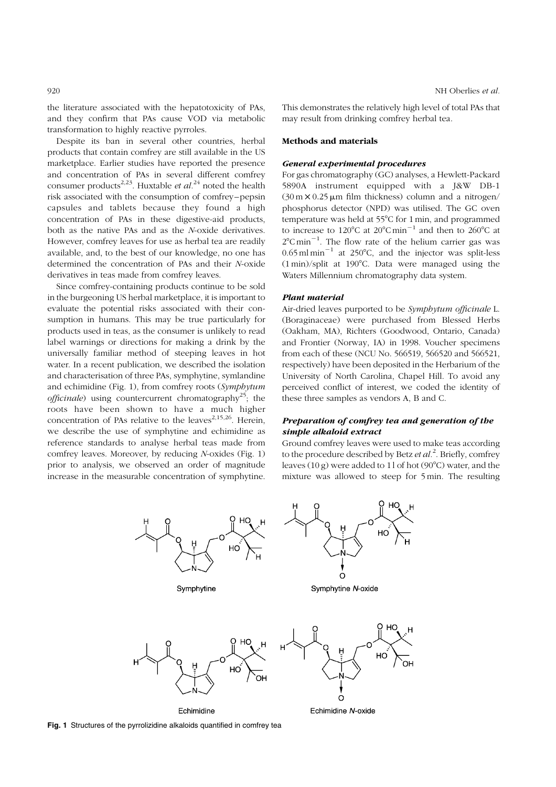the literature associated with the hepatotoxicity of PAs, and they confirm that PAs cause VOD via metabolic transformation to highly reactive pyrroles.

Despite its ban in several other countries, herbal products that contain comfrey are still available in the US marketplace. Earlier studies have reported the presence and concentration of PAs in several different comfrey consumer products<sup>2,23</sup>. Huxtable *et al.*<sup>24</sup> noted the health risk associated with the consumption of comfrey–pepsin capsules and tablets because they found a high concentration of PAs in these digestive-aid products, both as the native PAs and as the N-oxide derivatives. However, comfrey leaves for use as herbal tea are readily available, and, to the best of our knowledge, no one has determined the concentration of PAs and their N-oxide derivatives in teas made from comfrey leaves.

Since comfrey-containing products continue to be sold in the burgeoning US herbal marketplace, it is important to evaluate the potential risks associated with their consumption in humans. This may be true particularly for products used in teas, as the consumer is unlikely to read label warnings or directions for making a drink by the universally familiar method of steeping leaves in hot water. In a recent publication, we described the isolation and characterisation of three PAs, symphytine, symlandine and echimidine (Fig. 1), from comfrey roots (Symphytum *officinale*) using countercurrent chromatography<sup>25</sup>; the roots have been shown to have a much higher concentration of PAs relative to the leaves<sup>2,15,26</sup>. Herein, we describe the use of symphytine and echimidine as reference standards to analyse herbal teas made from comfrey leaves. Moreover, by reducing N-oxides (Fig. 1) prior to analysis, we observed an order of magnitude increase in the measurable concentration of symphytine.

920 NH Oberlies *et al.* 

This demonstrates the relatively high level of total PAs that may result from drinking comfrey herbal tea.

## Methods and materials

## General experimental procedures

For gas chromatography (GC) analyses, a Hewlett-Packard 5890A instrument equipped with a J&W DB-1  $(30 \text{ m} \times 0.25 \text{ }\mu\text{m}$  film thickness) column and a nitrogen/ phosphorus detector (NPD) was utilised. The GC oven temperature was held at 55°C for 1 min, and programmed to increase to 120 $^{\circ}$ C at 20 $^{\circ}$ C min<sup>-1</sup> and then to 260 $^{\circ}$ C at  $2^{\circ}$ C min<sup>-1</sup>. The flow rate of the helium carrier gas was  $0.65$  ml min<sup>-1</sup> at 250°C, and the injector was split-less  $(1 \text{ min})$ /split at 190°C. Data were managed using the Waters Millennium chromatography data system.

#### Plant material

Air-dried leaves purported to be Symphytum officinale L. (Boraginaceae) were purchased from Blessed Herbs (Oakham, MA), Richters (Goodwood, Ontario, Canada) and Frontier (Norway, IA) in 1998. Voucher specimens from each of these (NCU No. 566519, 566520 and 566521, respectively) have been deposited in the Herbarium of the University of North Carolina, Chapel Hill. To avoid any perceived conflict of interest, we coded the identity of these three samples as vendors A, B and C.

# Preparation of comfrey tea and generation of the simple alkaloid extract

Ground comfrey leaves were used to make teas according to the procedure described by Betz et al.<sup>2</sup>. Briefly, comfrey leaves  $(10 g)$  were added to 11 of hot  $(90^{\circ}C)$  water, and the mixture was allowed to steep for 5 min. The resulting



Fig. 1 Structures of the pyrrolizidine alkaloids quantified in comfrey tea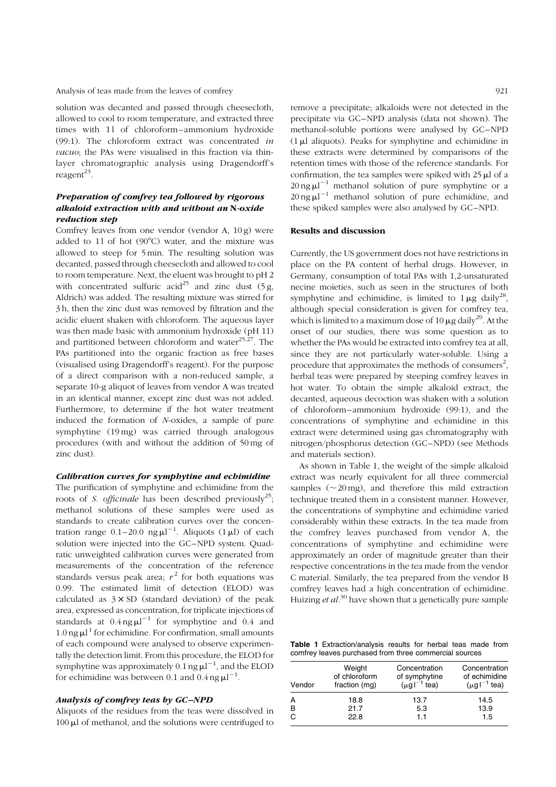<span id="page-2-0"></span>Analysis of teas made from the leaves of comfrey 921 and the leaves of comfrey 921

solution was decanted and passed through cheesecloth, allowed to cool to room temperature, and extracted three times with 11 of chloroform–ammonium hydroxide (99:1). The chloroform extract was concentrated in vacuo; the PAs were visualised in this fraction via thinlayer chromatographic analysis using Dragendorff's reagent $^{23}$ .

# Preparation of comfrey tea followed by rigorous alkaloid extraction with and without an N-oxide reduction step

Comfrey leaves from one vendor (vendor A, 10 g) were added to 11 of hot  $(90^{\circ}C)$  water, and the mixture was allowed to steep for 5 min. The resulting solution was decanted, passed through cheesecloth and allowed to cool to room temperature. Next, the eluent was brought to pH 2 with concentrated sulfuric acid<sup>25</sup> and zinc dust  $(5g,$ Aldrich) was added. The resulting mixture was stirred for 3 h, then the zinc dust was removed by filtration and the acidic eluent shaken with chloroform. The aqueous layer was then made basic with ammonium hydroxide (pH 11) and partitioned between chloroform and water $25,27$ . The PAs partitioned into the organic fraction as free bases (visualised using Dragendorff's reagent). For the purpose of a direct comparison with a non-reduced sample, a separate 10-g aliquot of leaves from vendor A was treated in an identical manner, except zinc dust was not added. Furthermore, to determine if the hot water treatment induced the formation of N-oxides, a sample of pure symphytine (19 mg) was carried through analogous procedures (with and without the addition of 50 mg of zinc dust).

# Calibration curves for symphytine and echimidine

The purification of symphytine and echimidine from the roots of *S. officinale* has been described previously<sup>25</sup>; methanol solutions of these samples were used as standards to create calibration curves over the concentration range  $0.1-20.0$  ng  $\mu$ l<sup>-1</sup>. Aliquots  $(1 \mu l)$  of each solution were injected into the GC–NPD system. Quadratic unweighted calibration curves were generated from measurements of the concentration of the reference standards versus peak area;  $r^2$  for both equations was 0.99. The estimated limit of detection (ELOD) was calculated as  $3 \times SD$  (standard deviation) of the peak area, expressed as concentration, for triplicate injections of standards at  $0.4$  ng  $\mu$ l<sup>-1</sup> for symphytine and 0.4 and  $1.0$  ng  $\mu$ <sup>1</sup> for echimidine. For confirmation, small amounts of each compound were analysed to observe experimentally the detection limit. From this procedure, the ELOD for symphytine was approximately 0.1 ng  $\mu$ l<sup>-1</sup>, and the ELOD for echimidine was between 0.1 and  $0.4$  ng  $\mu$ l<sup>-1</sup>.

## Analysis of comfrey teas by GC–NPD

Aliquots of the residues from the teas were dissolved in  $100 \mu$ l of methanol, and the solutions were centrifuged to

remove a precipitate; alkaloids were not detected in the precipitate via GC–NPD analysis (data not shown). The methanol-soluble portions were analysed by GC–NPD (1ml aliquots). Peaks for symphytine and echimidine in these extracts were determined by comparisons of the retention times with those of the reference standards. For confirmation, the tea samples were spiked with  $25 \mu$ l of a  $20$  ng  $\mu$ l<sup>-1</sup> methanol solution of pure symphytine or a  $20$  ng  $\mu$ l<sup>-1</sup> methanol solution of pure echimidine, and these spiked samples were also analysed by GC–NPD.

## Results and discussion

Currently, the US government does not have restrictions in place on the PA content of herbal drugs. However, in Germany, consumption of total PAs with 1,2-unsaturated necine moieties, such as seen in the structures of both symphytine and echimidine, is limited to  $1 \mu$ g daily<sup>28</sup>, although special consideration is given for comfrey tea, which is limited to a maximum dose of 10  $\mu$ g daily<sup>29</sup>. At the onset of our studies, there was some question as to whether the PAs would be extracted into comfrey tea at all, since they are not particularly water-soluble. Using a procedure that approximates the methods of consumers<sup>2</sup>, herbal teas were prepared by steeping comfrey leaves in hot water. To obtain the simple alkaloid extract, the decanted, aqueous decoction was shaken with a solution of chloroform–ammonium hydroxide (99:1), and the concentrations of symphytine and echimidine in this extract were determined using gas chromatography with nitrogen/phosphorus detection (GC–NPD) (see Methods and materials section).

As shown in Table 1, the weight of the simple alkaloid extract was nearly equivalent for all three commercial samples  $({\sim}20 \text{ mg})$ , and therefore this mild extraction technique treated them in a consistent manner. However, the concentrations of symphytine and echimidine varied considerably within these extracts. In the tea made from the comfrey leaves purchased from vendor A, the concentrations of symphytine and echimidine were approximately an order of magnitude greater than their respective concentrations in the tea made from the vendor C material. Similarly, the tea prepared from the vendor B comfrey leaves had a high concentration of echimidine. Huizing *et al.*<sup>30</sup> have shown that a genetically pure sample

Table 1 Extraction/analysis results for herbal teas made from comfrey leaves purchased from three commercial sources

| Vendor | Weight               | Concentration                | Concentration       |
|--------|----------------------|------------------------------|---------------------|
|        | of chloroform        | of symphytine                | of echimidine       |
|        | fraction (mg)        | $(\mu g)$ <sup>-1</sup> tea) | $(\mu g ^{-1}$ tea) |
| А<br>в | 18.8<br>21.7<br>22.8 | 13.7<br>5.3<br>11            | 14.5<br>13.9<br>1.5 |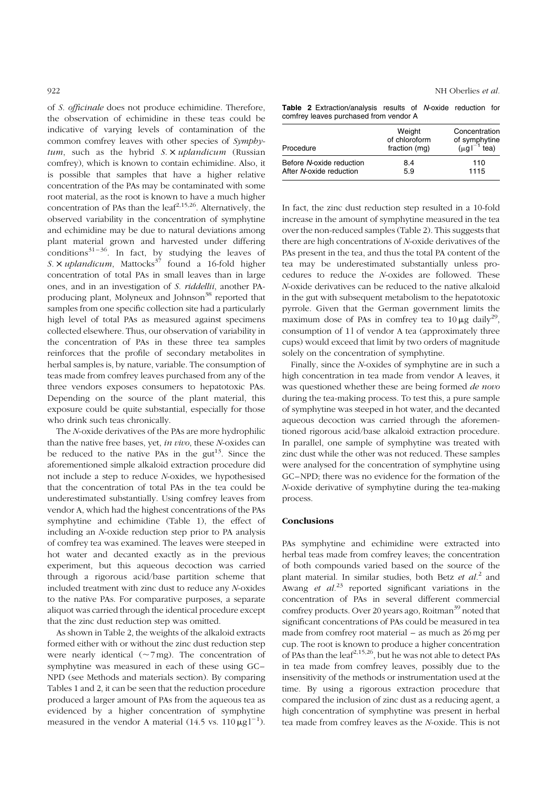of S. officinale does not produce echimidine. Therefore, the observation of echimidine in these teas could be indicative of varying levels of contamination of the common comfrey leaves with other species of Symphytum, such as the hybrid  $S. \times uplandicum$  (Russian comfrey), which is known to contain echimidine. Also, it is possible that samples that have a higher relative concentration of the PAs may be contaminated with some root material, as the root is known to have a much higher concentration of PAs than the leaf<sup>2,15,26</sup>. Alternatively, the observed variability in the concentration of symphytine and echimidine may be due to natural deviations among plant material grown and harvested under differing conditions $3^{31-36}$ . In fact, by studying the leaves of  $S. \times uplandicum$ , Mattocks<sup>37</sup> found a 16-fold higher concentration of total PAs in small leaves than in large ones, and in an investigation of S. riddellii, another PAproducing plant, Molyneux and Johnson<sup>38</sup> reported that samples from one specific collection site had a particularly high level of total PAs as measured against specimens collected elsewhere. Thus, our observation of variability in the concentration of PAs in these three tea samples reinforces that the profile of secondary metabolites in herbal samples is, by nature, variable. The consumption of teas made from comfrey leaves purchased from any of the three vendors exposes consumers to hepatotoxic PAs. Depending on the source of the plant material, this exposure could be quite substantial, especially for those who drink such teas chronically.

The N-oxide derivatives of the PAs are more hydrophilic than the native free bases, yet, in vivo, these N-oxides can be reduced to the native PAs in the gut<sup>13</sup>. Since the aforementioned simple alkaloid extraction procedure did not include a step to reduce N-oxides, we hypothesised that the concentration of total PAs in the tea could be underestimated substantially. Using comfrey leaves from vendor A, which had the highest concentrations of the PAs symphytine and echimidine [\(Table 1](#page-2-0)), the effect of including an N-oxide reduction step prior to PA analysis of comfrey tea was examined. The leaves were steeped in hot water and decanted exactly as in the previous experiment, but this aqueous decoction was carried through a rigorous acid/base partition scheme that included treatment with zinc dust to reduce any N-oxides to the native PAs. For comparative purposes, a separate aliquot was carried through the identical procedure except that the zinc dust reduction step was omitted.

As shown in Table 2, the weights of the alkaloid extracts formed either with or without the zinc dust reduction step were nearly identical  $({\sim}7 \text{ mg})$ . The concentration of symphytine was measured in each of these using GC– NPD (see Methods and materials section). By comparing [Tables 1 and 2](#page-2-0), it can be seen that the reduction procedure produced a larger amount of PAs from the aqueous tea as evidenced by a higher concentration of symphytine measured in the vendor A material (14.5 vs.  $110 \mu g l^{-1}$ ).

Table 2 Extraction/analysis results of N-oxide reduction for comfrey leaves purchased from vendor A

| Procedure                | Weight<br>of chloroform<br>fraction (mg) | Concentration<br>of symphytine<br>$(\mu g)$ <sup>-1</sup> tea) |
|--------------------------|------------------------------------------|----------------------------------------------------------------|
| Before N-oxide reduction | 8.4                                      | 110                                                            |
| After N-oxide reduction  | 5.9                                      | 1115                                                           |

In fact, the zinc dust reduction step resulted in a 10-fold increase in the amount of symphytine measured in the tea over the non-reduced samples (Table 2). This suggests that there are high concentrations of N-oxide derivatives of the PAs present in the tea, and thus the total PA content of the tea may be underestimated substantially unless procedures to reduce the N-oxides are followed. These N-oxide derivatives can be reduced to the native alkaloid in the gut with subsequent metabolism to the hepatotoxic pyrrole. Given that the German government limits the maximum dose of PAs in comfrey tea to  $10 \mu g$  daily<sup>29</sup>, consumption of 11 of vendor A tea (approximately three cups) would exceed that limit by two orders of magnitude solely on the concentration of symphytine.

Finally, since the N-oxides of symphytine are in such a high concentration in tea made from vendor A leaves, it was questioned whether these are being formed de novo during the tea-making process. To test this, a pure sample of symphytine was steeped in hot water, and the decanted aqueous decoction was carried through the aforementioned rigorous acid/base alkaloid extraction procedure. In parallel, one sample of symphytine was treated with zinc dust while the other was not reduced. These samples were analysed for the concentration of symphytine using GC–NPD; there was no evidence for the formation of the N-oxide derivative of symphytine during the tea-making process.

## **Conclusions**

PAs symphytine and echimidine were extracted into herbal teas made from comfrey leaves; the concentration of both compounds varied based on the source of the plant material. In similar studies, both Betz et  $al^2$  and Awang *et al.*<sup>23</sup> reported significant variations in the concentration of PAs in several different commercial comfrey products. Over 20 years ago, Roitman $39$  noted that significant concentrations of PAs could be measured in tea made from comfrey root material – as much as 26 mg per cup. The root is known to produce a higher concentration of PAs than the leaf<sup>2,15,26</sup>, but he was not able to detect PAs in tea made from comfrey leaves, possibly due to the insensitivity of the methods or instrumentation used at the time. By using a rigorous extraction procedure that compared the inclusion of zinc dust as a reducing agent, a high concentration of symphytine was present in herbal tea made from comfrey leaves as the N-oxide. This is not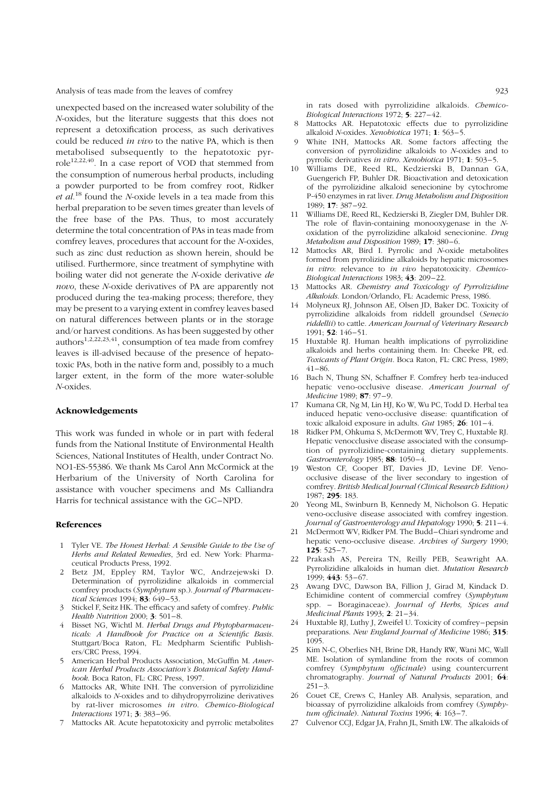Analysis of teas made from the leaves of comfrey 923

unexpected based on the increased water solubility of the N-oxides, but the literature suggests that this does not represent a detoxification process, as such derivatives could be reduced in vivo to the native PA, which is then metabolised subsequently to the hepatotoxic pyrrole $^{12,22,40}$ . In a case report of VOD that stemmed from the consumption of numerous herbal products, including a powder purported to be from comfrey root, Ridker et  $al$ <sup>18</sup> found the N-oxide levels in a tea made from this herbal preparation to be seven times greater than levels of the free base of the PAs. Thus, to most accurately determine the total concentration of PAs in teas made from comfrey leaves, procedures that account for the N-oxides, such as zinc dust reduction as shown herein, should be utilised. Furthermore, since treatment of symphytine with boiling water did not generate the N-oxide derivative de novo, these N-oxide derivatives of PA are apparently not produced during the tea-making process; therefore, they may be present to a varying extent in comfrey leaves based on natural differences between plants or in the storage and/or harvest conditions. As has been suggested by other authors<sup>1,2,22,23,41</sup>, consumption of tea made from comfrey leaves is ill-advised because of the presence of hepatotoxic PAs, both in the native form and, possibly to a much larger extent, in the form of the more water-soluble N-oxides.

### Acknowledgements

This work was funded in whole or in part with federal funds from the National Institute of Environmental Health Sciences, National Institutes of Health, under Contract No. NO1-ES-55386. We thank Ms Carol Ann McCormick at the Herbarium of the University of North Carolina for assistance with voucher specimens and Ms Calliandra Harris for technical assistance with the GC–NPD.

## References

- 1 Tyler VE. The Honest Herbal: A Sensible Guide to the Use of Herbs and Related Remedies, 3rd ed. New York: Pharmaceutical Products Press, 1992.
- 2 Betz JM, Eppley RM, Taylor WC, Andrzejewski D. Determination of pyrrolizidine alkaloids in commercial comfrey products (Symphytum sp.). Journal of Pharmaceutical Sciences 1994; 83: 649–53.
- 3 Stickel F, Seitz HK. The efficacy and safety of comfrey. Public Health Nutrition 2000; 3: 501–8.
- Bisset NG, Wichtl M. Herbal Drugs and Phytopharmaceuticals: A Handbook for Practice on a Scientific Basis. Stuttgart/Boca Raton, FL: Medpharm Scientific Publishers/CRC Press, 1994.
- 5 American Herbal Products Association, McGuffin M. American Herbal Products Association's Botanical Safety Handbook. Boca Raton, FL: CRC Press, 1997.
- Mattocks AR, White INH. The conversion of pyrrolizidine alkaloids to N-oxides and to dihydropyrrolizine derivatives by rat-liver microsomes in vitro. Chemico-Biological Interactions 1971; 3: 383–96.
- Mattocks AR. Acute hepatotoxicity and pyrrolic metabolites

in rats dosed with pyrrolizidine alkaloids. Chemico-Biological Interactions 1972; 5: 227–42.

- Mattocks AR. Hepatotoxic effects due to pyrrolizidine alkaloid N-oxides. Xenobiotica 1971; 1: 563–5.
- White INH, Mattocks AR. Some factors affecting the conversion of pyrrolizidine alkaloids to N-oxides and to pyrrolic derivatives in vitro. Xenobiotica 1971; 1: 503–5.
- 10 Williams DE, Reed RL, Kedzierski B, Dannan GA, Guengerich FP, Buhler DR. Bioactivation and detoxication of the pyrrolizidine alkaloid senecionine by cytochrome P-450 enzymes in rat liver. Drug Metabolism and Disposition 1989; 17: 387–92.
- 11 Williams DE, Reed RL, Kedzierski B, Ziegler DM, Buhler DR. The role of flavin-containing monooxygenase in the  $N$ oxidation of the pyrrolizidine alkaloid senecionine. Drug Metabolism and Disposition 1989; 17: 380-6.
- 12 Mattocks AR, Bird I. Pyrrolic and N-oxide metabolites formed from pyrrolizidine alkaloids by hepatic microsomes in vitro: relevance to in vivo hepatotoxicity. Chemico-Biological Interactions 1983; 43: 209-22.
- 13 Mattocks AR. Chemistry and Toxicology of Pyrrolizidine Alkaloids. London/Orlando, FL: Academic Press, 1986.
- 14 Molyneux RJ, Johnson AE, Olsen JD, Baker DC. Toxicity of pyrrolizidine alkaloids from riddell groundsel (Senecio riddellii) to cattle. American Journal of Veterinary Research 1991; 52: 146–51.
- 15 Huxtable RJ. Human health implications of pyrrolizidine alkaloids and herbs containing them. In: Cheeke PR, ed. Toxicants of Plant Origin. Boca Raton, FL: CRC Press, 1989; 41–86.
- 16 Bach N, Thung SN, Schaffner F. Comfrey herb tea-induced hepatic veno-occlusive disease. American Journal of Medicine 1989; 87: 97–9.
- 17 Kumana CR, Ng M, Lin HJ, Ko W, Wu PC, Todd D. Herbal tea induced hepatic veno-occlusive disease: quantification of toxic alkaloid exposure in adults. *Gut* 1985: **26**: 101–4.
- 18 Ridker PM, Ohkuma S, McDermott WV, Trey C, Huxtable RJ. Hepatic venocclusive disease associated with the consumption of pyrrolizidine-containing dietary supplements. Gastroenterology 1985; 88: 1050–4.
- 19 Weston CF, Cooper BT, Davies JD, Levine DF. Venoocclusive disease of the liver secondary to ingestion of comfrey. British Medical Journal (Clinical Research Edition) 1987; 295: 183.
- 20 Yeong ML, Swinburn B, Kennedy M, Nicholson G. Hepatic veno-occlusive disease associated with comfrey ingestion. Journal of Gastroenterology and Hepatology 1990; 5: 211-4.
- 21 McDermott WV, Ridker PM. The Budd–Chiari syndrome and hepatic veno-occlusive disease. Archives of Surgery 1990; 125: 525–7.
- 22 Prakash AS, Pereira TN, Reilly PEB, Seawright AA. Pyrrolizidine alkaloids in human diet. Mutation Research 1999; 443: 53–67.
- 23 Awang DVC, Dawson BA, Fillion J, Girad M, Kindack D. Echimidine content of commercial comfrey (Symphytum spp. – Boraginaceae). Journal of Herbs, Spices and Medicinal Plants 1993; 2: 21–34.
- 24 Huxtable RJ, Luthy J, Zweifel U. Toxicity of comfrey–pepsin preparations. New England Journal of Medicine 1986; 315: 1095.
- 25 Kim N-C, Oberlies NH, Brine DR, Handy RW, Wani MC, Wall ME. Isolation of symlandine from the roots of common comfrey (Symphytum officinale) using countercurrent chromatography. Journal of Natural Products 2001; 64:  $251 - 3$ .
- 26 Couet CE, Crews C, Hanley AB. Analysis, separation, and bioassay of pyrrolizidine alkaloids from comfrey (Symphytum officinale). Natural Toxins 1996; 4: 163-7.
- 27 Culvenor CCJ, Edgar JA, Frahn JL, Smith LW. The alkaloids of